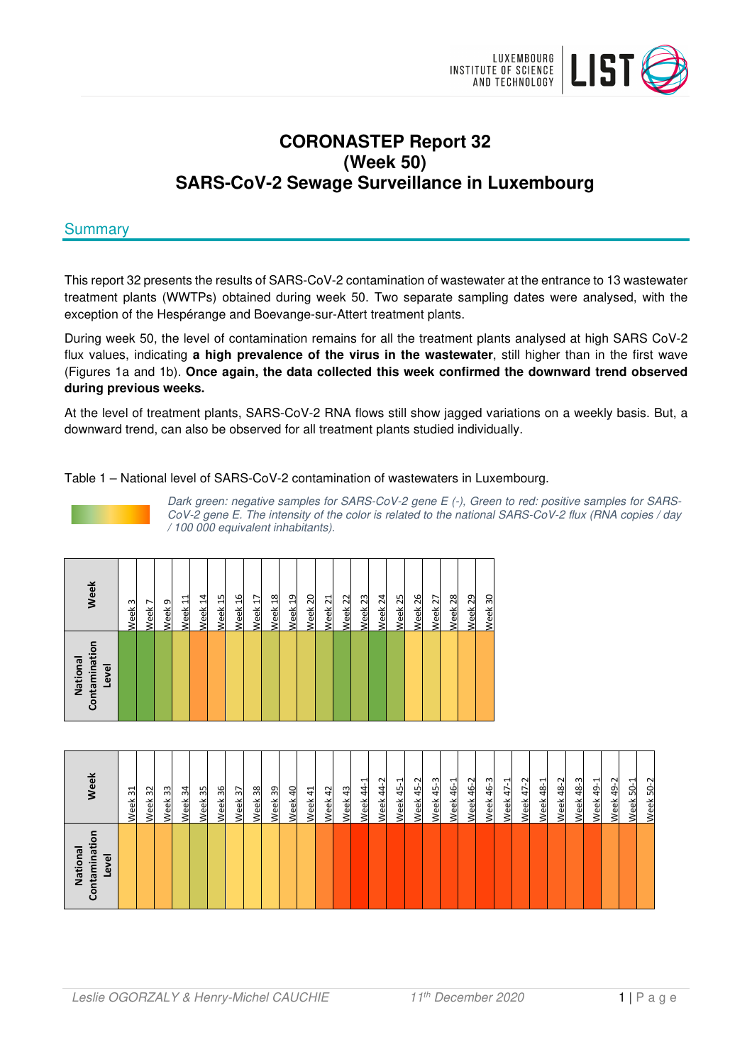

# **CORONASTEP Report 32 (Week 50) SARS-CoV-2 Sewage Surveillance in Luxembourg**

# **Summary**

This report 32 presents the results of SARS-CoV-2 contamination of wastewater at the entrance to 13 wastewater treatment plants (WWTPs) obtained during week 50. Two separate sampling dates were analysed, with the exception of the Hespérange and Boevange-sur-Attert treatment plants.

During week 50, the level of contamination remains for all the treatment plants analysed at high SARS CoV-2 flux values, indicating **a high prevalence of the virus in the wastewater**, still higher than in the first wave (Figures 1a and 1b). **Once again, the data collected this week confirmed the downward trend observed during previous weeks.** 

At the level of treatment plants, SARS-CoV-2 RNA flows still show jagged variations on a weekly basis. But, a downward trend, can also be observed for all treatment plants studied individually.

## Table 1 – National level of SARS-CoV-2 contamination of wastewaters in Luxembourg.



Dark green: negative samples for SARS-CoV-2 gene E (-), Green to red: positive samples for SARS-CoV-2 gene E. The intensity of the color is related to the national SARS-CoV-2 flux (RNA copies / day / 100 000 equivalent inhabitants).

| Contaminatio<br>National<br>Level | Week               |
|-----------------------------------|--------------------|
|                                   | Week <sub>3</sub>  |
|                                   | Week <sub>7</sub>  |
|                                   | Week 9             |
|                                   | Week 11            |
|                                   | Week 14            |
|                                   | Week <sub>15</sub> |
|                                   | Week 16            |
|                                   | Week <sub>17</sub> |
|                                   | Week <sub>18</sub> |
|                                   | Week <sub>19</sub> |
|                                   | Week <sub>20</sub> |
|                                   | Week <sub>21</sub> |
|                                   | Week <sub>22</sub> |
|                                   | Week <sub>23</sub> |
|                                   | Week <sub>24</sub> |
|                                   | Week <sub>25</sub> |
|                                   | Week <sub>26</sub> |
|                                   | Week <sub>27</sub> |
|                                   | Week <sub>28</sub> |
|                                   | Week <sub>29</sub> |
|                                   | Week <sub>30</sub> |

| Tati<br>National<br>Level<br>ntamir<br>වි | <b>Week</b>             |
|-------------------------------------------|-------------------------|
|                                           | ನ<br>Week               |
|                                           | ೫<br>Week               |
|                                           | 33<br>Week              |
|                                           | Week 34                 |
|                                           | 35<br>Week              |
|                                           | 36<br>Week              |
|                                           | $\mathfrak{D}$<br>Week  |
|                                           | Week 38                 |
|                                           | Week 39                 |
|                                           | $\Delta$<br>Week        |
|                                           | $\ddot{4}$<br>Week      |
|                                           | Week 42                 |
|                                           | 43<br>Week              |
|                                           | ᆸ<br>$\ddot{a}$<br>Week |
|                                           | Week 44-2               |
|                                           | $45-1$<br>Week          |
|                                           | 45-2<br>Week            |
|                                           | ന<br>45<br>Week         |
|                                           | ᆋ<br>$46 -$<br>Week     |
|                                           | Week 46-2               |
|                                           | 46-3<br>Week            |
|                                           | $47-1$<br>Week          |
|                                           | $47 - 2$<br>Week        |
|                                           | Week 48-1               |
|                                           | Week 48-2               |
|                                           | $48 - 3$<br>Week        |
|                                           | ᆋ<br>$49 -$<br>Week     |
|                                           | Week 49-2               |
|                                           | Week 50-1               |
|                                           | $50-2$<br>Week          |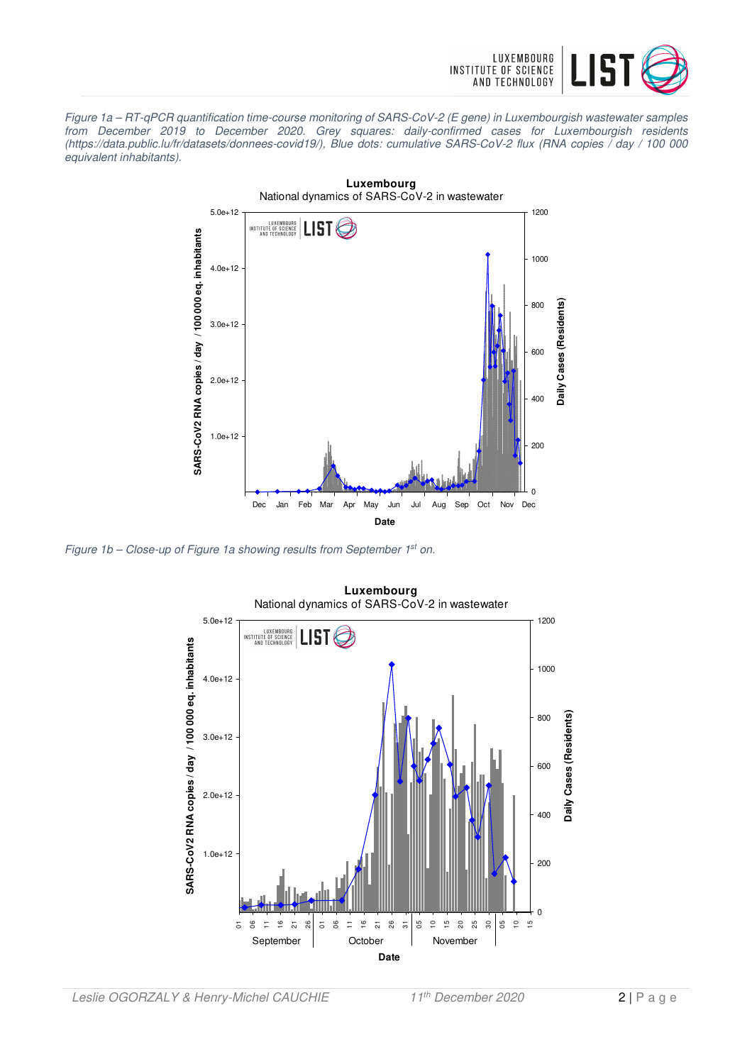

Figure 1a – RT-qPCR quantification time-course monitoring of SARS-CoV-2 (E gene) in Luxembourgish wastewater samples from December 2019 to December 2020. Grey squares: daily-confirmed cases for Luxembourgish residents (https://data.public.lu/fr/datasets/donnees-covid19/), Blue dots: cumulative SARS-CoV-2 flux (RNA copies / day / 100 000 equivalent inhabitants).



Figure 1b – Close-up of Figure 1a showing results from September  $1^{st}$  on.

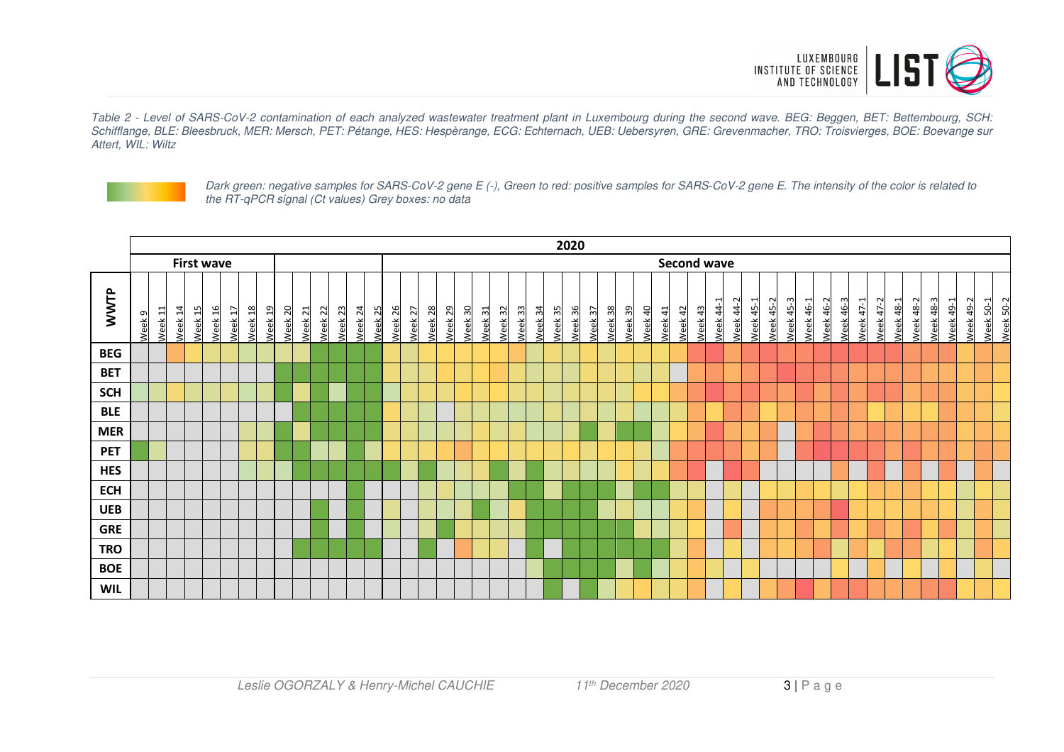

Table 2 - Level of SARS-CoV-2 contamination of each analyzed wastewater treatment plant in Luxembourg during the second wave. BEG: Beggen, BET: Bettembourg, SCH: Schifflange, BLE: Bleesbruck, MER: Mersch, PET: Pétange, HES: Hespèrange, ECG: Echternach, UEB: Uebersyren, GRE: Grevenmacher, TRO: Troisvierges, BOE: Boevange sur Attert, WIL: Wiltz



Dark green: negative samples for SARS-CoV-2 gene E (-), Green to red: positive samples for SARS-CoV-2 gene E. The intensity of the color is related to the RT-qPCR signal (Ct values) Grey boxes: no data

|            | 2020              |                    |                    |                    |         |                    |                               |         |         |         |                    |         |                    |                    |         |                    |         |                    |                    |         |         |         |                    |         |         |                    |         |                |         |         |         |           |                  |           |                  |                  |                  |           |                  |                  |               |                  |           |           |           |           |                        |
|------------|-------------------|--------------------|--------------------|--------------------|---------|--------------------|-------------------------------|---------|---------|---------|--------------------|---------|--------------------|--------------------|---------|--------------------|---------|--------------------|--------------------|---------|---------|---------|--------------------|---------|---------|--------------------|---------|----------------|---------|---------|---------|-----------|------------------|-----------|------------------|------------------|------------------|-----------|------------------|------------------|---------------|------------------|-----------|-----------|-----------|-----------|------------------------|
|            | <b>First wave</b> |                    |                    |                    |         |                    |                               |         |         |         |                    |         |                    |                    |         |                    |         |                    |                    |         |         |         |                    |         |         | <b>Second wave</b> |         |                |         |         |         |           |                  |           |                  |                  |                  |           |                  |                  |               |                  |           |           |           |           |                        |
| WWTP       | Week <sub>9</sub> | Week <sub>11</sub> | Week <sub>14</sub> | Week <sub>15</sub> | Week 16 | Week <sub>17</sub> | Week 18<br>Week <sub>19</sub> | Week 20 | Week 21 | Week 22 | Week <sub>23</sub> | Week 24 | Week <sub>25</sub> | Week <sub>26</sub> | Week 27 | Week <sub>28</sub> | Week 29 | Week <sub>30</sub> | Week <sub>31</sub> | Week 32 | Week 33 | Week 34 | Week <sub>35</sub> | Week 36 | Week 37 | Week 38            | Week 39 | <b>Neek 40</b> | Week 41 | Week 42 | Week 43 | Week 44-1 | <b>Neek 44-2</b> | Week 45-1 | <b>Neek 45-2</b> | <b>Neek 45-3</b> | <b>Neek 46-1</b> | Week 46-2 | <b>Neek 46-3</b> | <b>Neek 47-1</b> | ೆ<br>Week 47- | <b>Neek 48-1</b> | Week 48-2 | Week 48-3 | Week 49-1 | Week 49-2 | Week 50-2<br>Week 50-1 |
| <b>BEG</b> |                   |                    |                    |                    |         |                    |                               |         |         |         |                    |         |                    |                    |         |                    |         |                    |                    |         |         |         |                    |         |         |                    |         |                |         |         |         |           |                  |           |                  |                  |                  |           |                  |                  |               |                  |           |           |           |           |                        |
| <b>BET</b> |                   |                    |                    |                    |         |                    |                               |         |         |         |                    |         |                    |                    |         |                    |         |                    |                    |         |         |         |                    |         |         |                    |         |                |         |         |         |           |                  |           |                  |                  |                  |           |                  |                  |               |                  |           |           |           |           |                        |
| <b>SCH</b> |                   |                    |                    |                    |         |                    |                               |         |         |         |                    |         |                    |                    |         |                    |         |                    |                    |         |         |         |                    |         |         |                    |         |                |         |         |         |           |                  |           |                  |                  |                  |           |                  |                  |               |                  |           |           |           |           |                        |
| <b>BLE</b> |                   |                    |                    |                    |         |                    |                               |         |         |         |                    |         |                    |                    |         |                    |         |                    |                    |         |         |         |                    |         |         |                    |         |                |         |         |         |           |                  |           |                  |                  |                  |           |                  |                  |               |                  |           |           |           |           |                        |
| <b>MER</b> |                   |                    |                    |                    |         |                    |                               |         |         |         |                    |         |                    |                    |         |                    |         |                    |                    |         |         |         |                    |         |         |                    |         |                |         |         |         |           |                  |           |                  |                  |                  |           |                  |                  |               |                  |           |           |           |           |                        |
| <b>PET</b> |                   |                    |                    |                    |         |                    |                               |         |         |         |                    |         |                    |                    |         |                    |         |                    |                    |         |         |         |                    |         |         |                    |         |                |         |         |         |           |                  |           |                  |                  |                  |           |                  |                  |               |                  |           |           |           |           |                        |
| <b>HES</b> |                   |                    |                    |                    |         |                    |                               |         |         |         |                    |         |                    |                    |         |                    |         |                    |                    |         |         |         |                    |         |         |                    |         |                |         |         |         |           |                  |           |                  |                  |                  |           |                  |                  |               |                  |           |           |           |           |                        |
| <b>ECH</b> |                   |                    |                    |                    |         |                    |                               |         |         |         |                    |         |                    |                    |         |                    |         |                    |                    |         |         |         |                    |         |         |                    |         |                |         |         |         |           |                  |           |                  |                  |                  |           |                  |                  |               |                  |           |           |           |           |                        |
| <b>UEB</b> |                   |                    |                    |                    |         |                    |                               |         |         |         |                    |         |                    |                    |         |                    |         |                    |                    |         |         |         |                    |         |         |                    |         |                |         |         |         |           |                  |           |                  |                  |                  |           |                  |                  |               |                  |           |           |           |           |                        |
| <b>GRE</b> |                   |                    |                    |                    |         |                    |                               |         |         |         |                    |         |                    |                    |         |                    |         |                    |                    |         |         |         |                    |         |         |                    |         |                |         |         |         |           |                  |           |                  |                  |                  |           |                  |                  |               |                  |           |           |           |           |                        |
| <b>TRO</b> |                   |                    |                    |                    |         |                    |                               |         |         |         |                    |         |                    |                    |         |                    |         |                    |                    |         |         |         |                    |         |         |                    |         |                |         |         |         |           |                  |           |                  |                  |                  |           |                  |                  |               |                  |           |           |           |           |                        |
| <b>BOE</b> |                   |                    |                    |                    |         |                    |                               |         |         |         |                    |         |                    |                    |         |                    |         |                    |                    |         |         |         |                    |         |         |                    |         |                |         |         |         |           |                  |           |                  |                  |                  |           |                  |                  |               |                  |           |           |           |           |                        |
| <b>WIL</b> |                   |                    |                    |                    |         |                    |                               |         |         |         |                    |         |                    |                    |         |                    |         |                    |                    |         |         |         |                    |         |         |                    |         |                |         |         |         |           |                  |           |                  |                  |                  |           |                  |                  |               |                  |           |           |           |           |                        |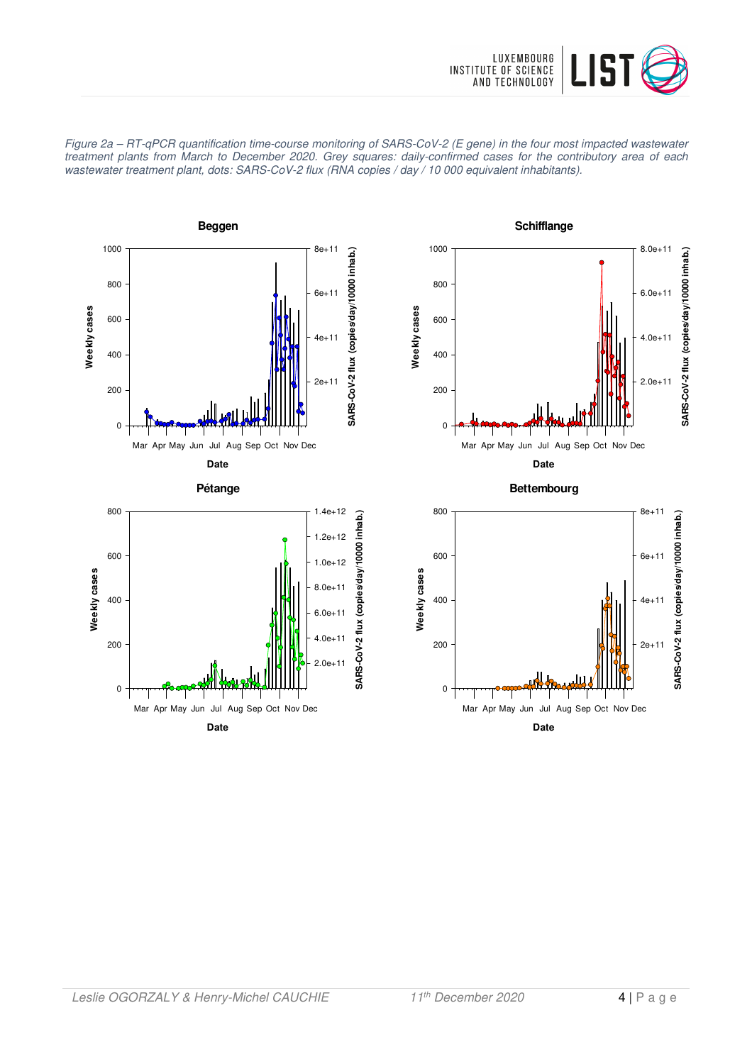





**Date**



**Bettembourg**

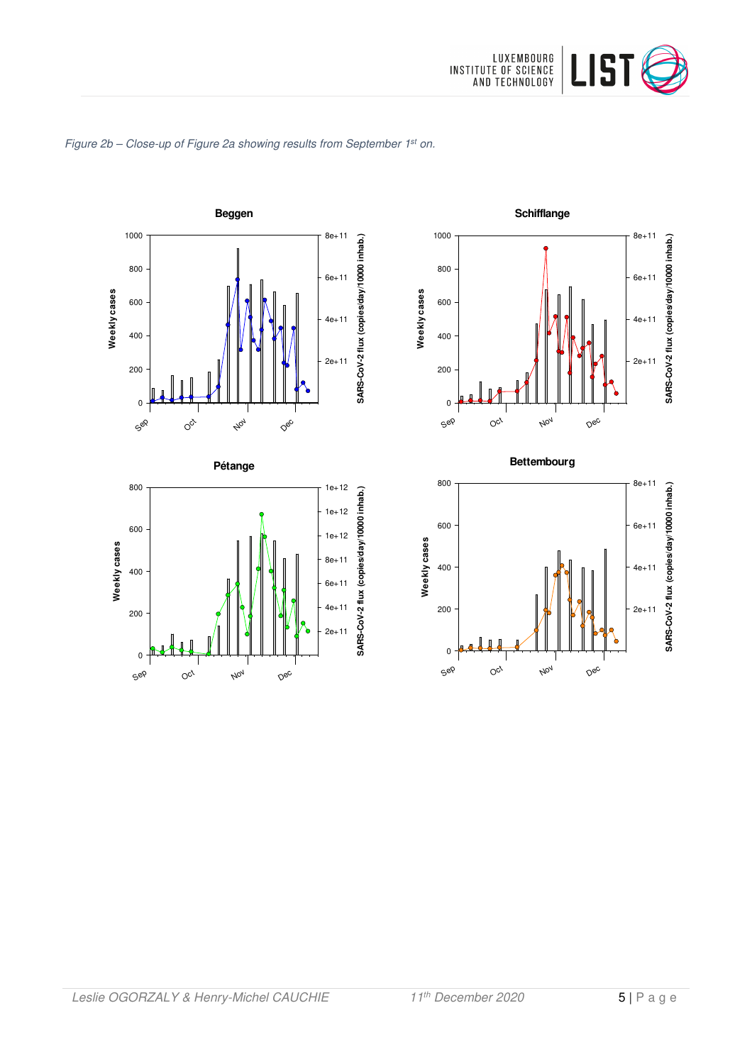

### Figure 2b - Close-up of Figure 2a showing results from September 1st on.











Nov

Dec

Sep

0

 $O_{C_f}$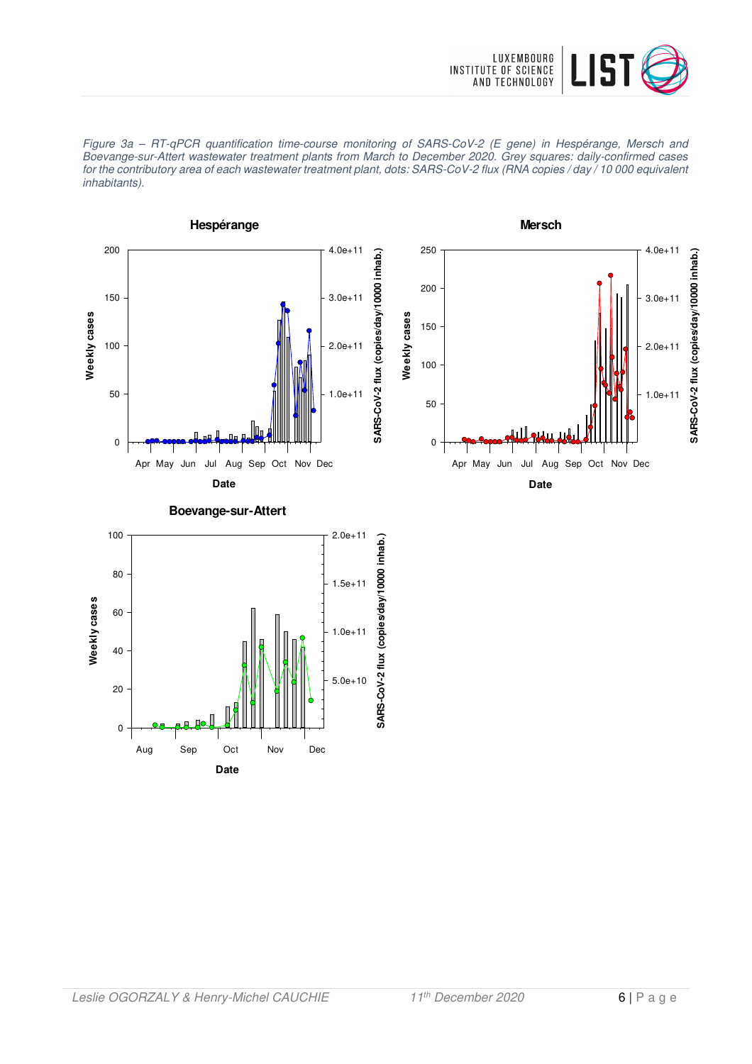





**Date** Aug Sep Oct Nov Dec

0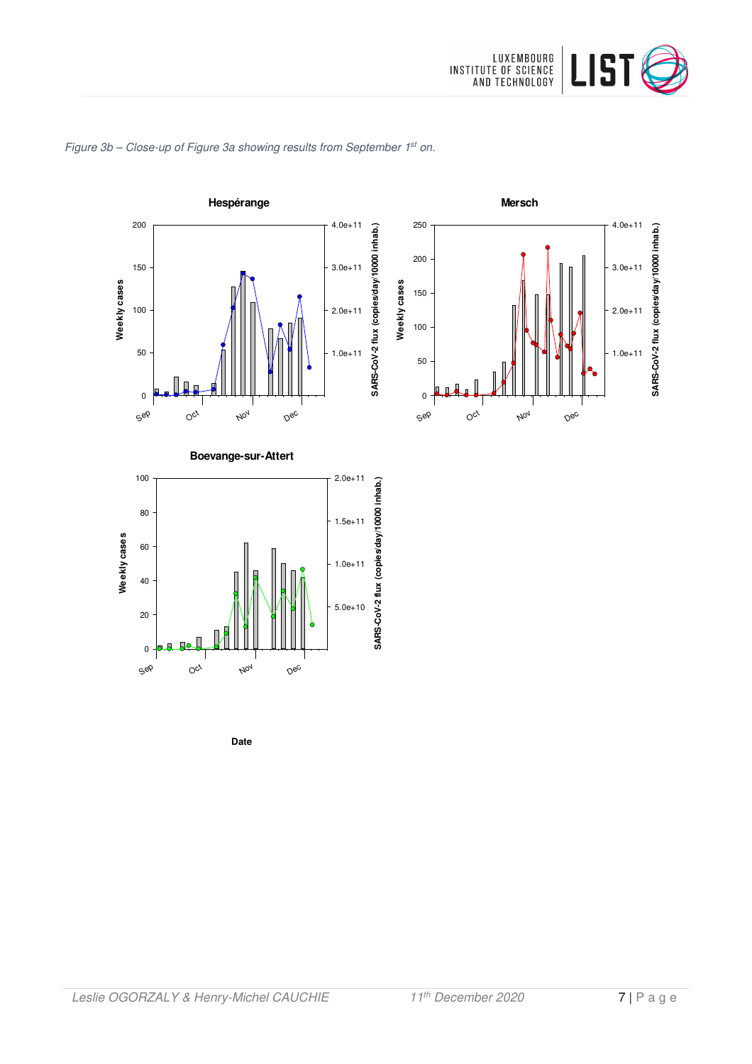







**Mersch**



**Date**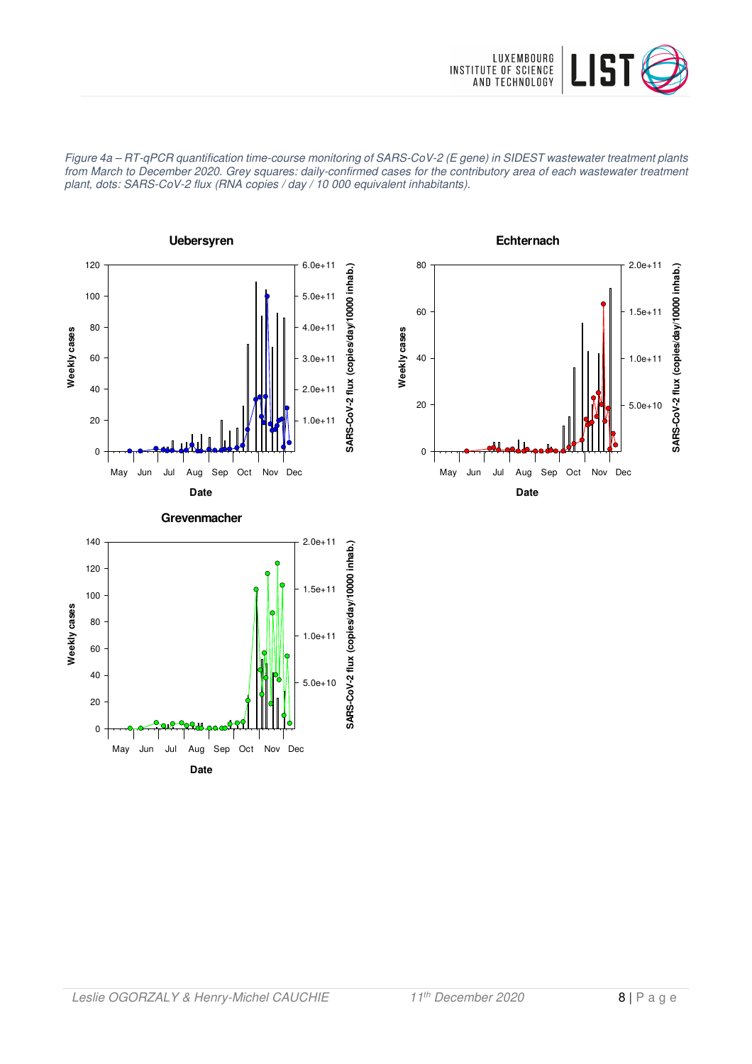

Figure 4a – RT-qPCR quantification time-course monitoring of SARS-CoV-2 (E gene) in SIDEST wastewater treatment plants from March to December 2020. Grey squares: daily-confirmed cases for the contributory area of each wastewater treatment plant, dots: SARS-CoV-2 flux (RNA copies / day / 10 000 equivalent inhabitants).





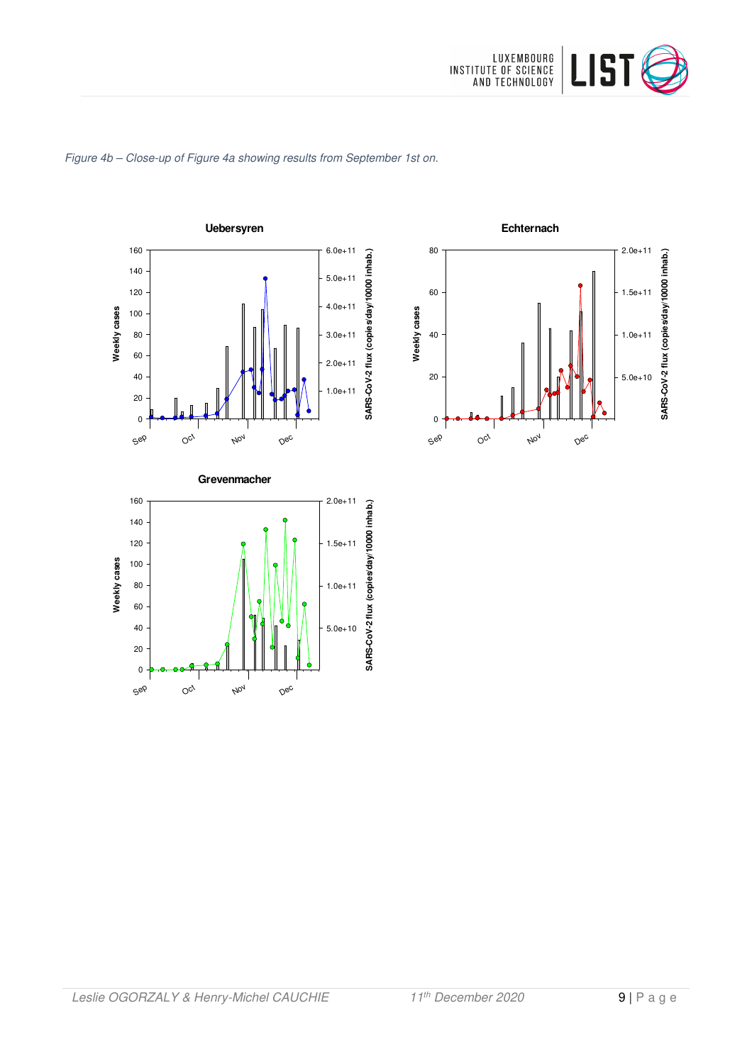

# Figure 4b – Close-up of Figure 4a showing results from September 1st on.





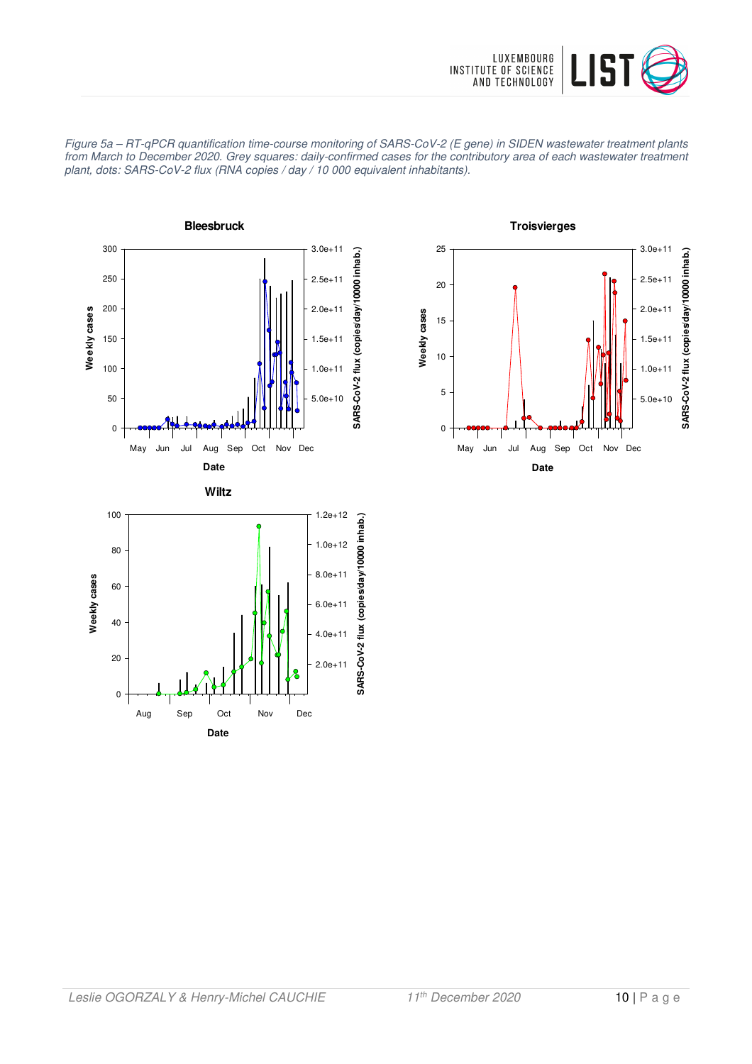





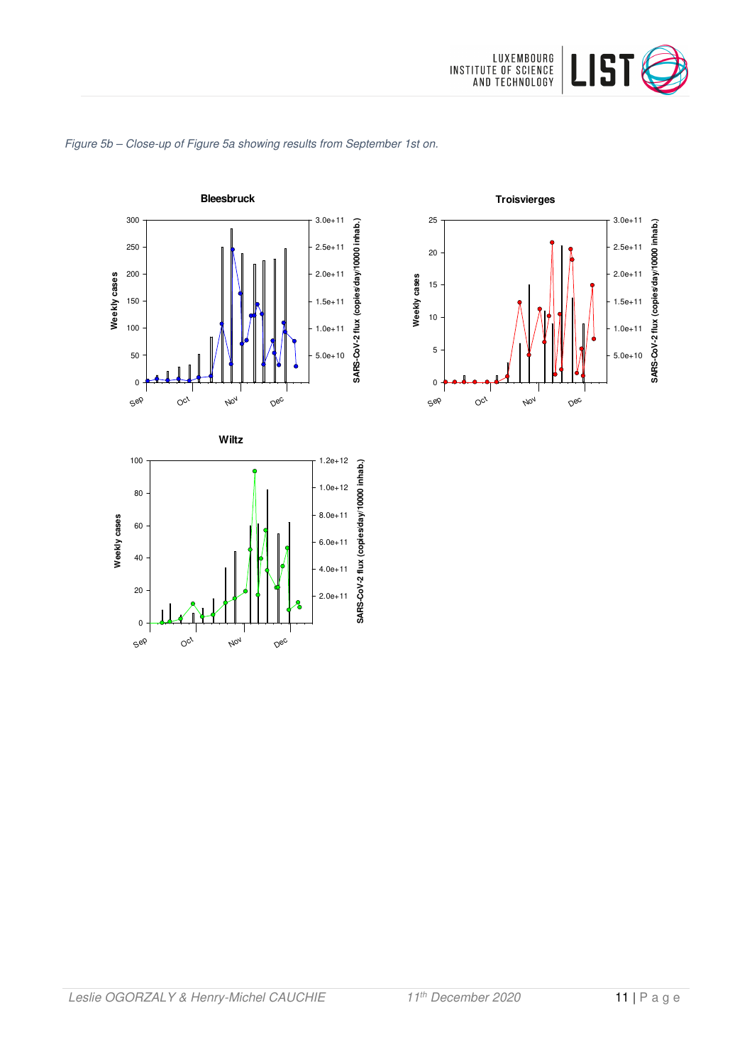



### Figure 5b – Close-up of Figure 5a showing results from September 1st on.

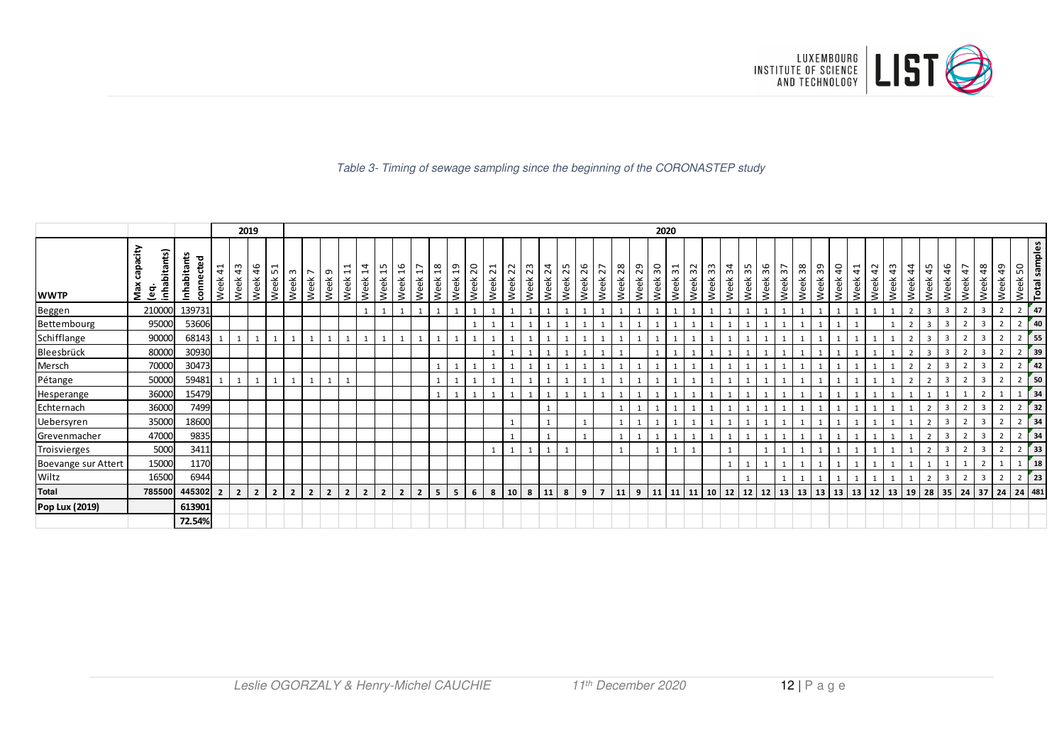

#### Table 3- Timing of sewage sampling since the beginning of the CORONASTEP study

|                     |                                      |                              |            |                | 2019           |                                                            |                                     |                |                |                     |                                      |                    |                |                        |                    |         |                                  |         |                    |                         |                    |                |                |         |                    | 2020                             |             |         |             |         |                    |                   |                             |                   |         |                       |                            |         |             |                         |                |            |                |            |                          |  |
|---------------------|--------------------------------------|------------------------------|------------|----------------|----------------|------------------------------------------------------------|-------------------------------------|----------------|----------------|---------------------|--------------------------------------|--------------------|----------------|------------------------|--------------------|---------|----------------------------------|---------|--------------------|-------------------------|--------------------|----------------|----------------|---------|--------------------|----------------------------------|-------------|---------|-------------|---------|--------------------|-------------------|-----------------------------|-------------------|---------|-----------------------|----------------------------|---------|-------------|-------------------------|----------------|------------|----------------|------------|--------------------------|--|
| <b>WWTP</b>         | capacity<br>nhabitants)<br>Max<br>eg | Inhabitants<br>ಕ<br>connecte | 41<br>Week | 43<br>Week     | 46<br>Week     | $\overline{\phantom{0}}$<br>L<br>Week <sub>3</sub><br>Week | $\overline{a}$<br>Week <sup>-</sup> | თ<br>Week      | $\Xi$<br>Week: | $\ddot{a}$<br>Week: | LO.<br>$\mathbf{\mathbf{t}}$<br>Week | Week <sub>16</sub> | Week 17        | $\frac{8}{18}$<br>Week | Week <sub>19</sub> | Week 20 | $\overline{ }$<br>$\sim$<br>Week | Week 22 | Week <sub>23</sub> | $\overline{24}$<br>Week | Week <sub>25</sub> | Week 26        | 27<br>Week     | Week 28 | Week <sub>29</sub> | $\overline{\phantom{0}}$<br>Week | Week 31     | Week 32 | က္က<br>Week | Week 34 | Week <sub>35</sub> | 36<br><b>Neek</b> | Week 38<br>Week 37          | 39<br><b>Neek</b> | Week 40 | $\frac{1}{4}$<br>Week | $\sim$<br>4<br><b>Neek</b> | Week 43 | 44<br>Week  | 45<br>Week              | 46<br>Week     | 47<br>Week | 48<br>Week     | 49<br>Week | Total samples<br>Week 50 |  |
| Beggen              | 210000                               | 139731                       |            |                |                |                                                            |                                     |                |                |                     |                                      |                    | $\mathbf{1}$   |                        |                    |         |                                  |         |                    |                         |                    |                |                |         |                    |                                  |             |         |             |         |                    |                   |                             |                   |         |                       |                            |         |             | $\overline{\mathbf{3}}$ |                |            | $\overline{3}$ |            | 47<br>$\overline{2}$     |  |
| Bettembourg         | 95000                                | 53606                        |            |                |                |                                                            |                                     |                |                |                     |                                      |                    |                |                        |                    |         |                                  |         |                    |                         |                    |                |                |         |                    |                                  |             |         |             |         |                    |                   |                             |                   |         |                       |                            |         |             |                         |                |            |                |            | 40                       |  |
| Schifflange         | 90000                                | 68143                        |            |                |                |                                                            |                                     |                |                |                     |                                      |                    | $\mathbf{1}$   |                        |                    |         |                                  |         |                    |                         |                    |                |                |         |                    |                                  |             |         |             |         |                    |                   |                             |                   |         |                       |                            |         |             | $\overline{3}$          | $\overline{3}$ |            | $\overline{3}$ |            | 55<br>$\overline{2}$     |  |
| Bleesbrück          | 80000                                | 30930                        |            |                |                |                                                            |                                     |                |                |                     |                                      |                    |                |                        |                    |         |                                  |         |                    |                         |                    |                |                |         |                    |                                  |             |         |             |         |                    |                   |                             |                   |         |                       |                            |         |             |                         |                |            | 3              |            | 39                       |  |
| Mersch              | 70000                                | 30473                        |            |                |                |                                                            |                                     |                |                |                     |                                      |                    |                |                        |                    |         |                                  |         |                    |                         |                    |                |                |         |                    |                                  |             |         |             |         |                    |                   |                             |                   |         |                       |                            |         |             |                         |                |            |                |            | 42                       |  |
| Pétange             | 50000                                | 59481                        |            |                | 1              |                                                            | $\mathbf{1}$                        |                |                |                     |                                      |                    |                |                        |                    |         |                                  |         |                    |                         |                    |                |                |         |                    |                                  |             |         |             |         |                    |                   |                             |                   |         |                       |                            |         |             | $\mathcal{L}$           |                |            | $\overline{3}$ |            | 50<br>$\overline{2}$     |  |
| Hesperange          | 36000                                | 15479                        |            |                |                |                                                            |                                     |                |                |                     |                                      |                    |                |                        |                    |         |                                  |         |                    |                         |                    |                |                |         |                    |                                  |             |         |             |         |                    |                   |                             |                   |         |                       |                            |         |             |                         |                |            |                |            | 34                       |  |
| Echternach          | 36000                                | 7499                         |            |                |                |                                                            |                                     |                |                |                     |                                      |                    |                |                        |                    |         |                                  |         |                    |                         |                    |                |                |         |                    |                                  |             |         |             |         |                    |                   |                             |                   |         |                       |                            |         |             |                         |                |            |                |            | 32                       |  |
| Uebersyren          | 35000                                | 18600                        |            |                |                |                                                            |                                     |                |                |                     |                                      |                    |                |                        |                    |         |                                  |         |                    |                         |                    |                |                |         |                    |                                  |             |         |             |         |                    |                   |                             |                   |         |                       |                            |         |             |                         |                |            | 3              |            | 34                       |  |
| Grevenmacher        | 47000                                | 9835                         |            |                |                |                                                            |                                     |                |                |                     |                                      |                    |                |                        |                    |         |                                  |         |                    |                         |                    |                |                |         |                    |                                  |             |         |             |         |                    |                   |                             |                   |         |                       |                            |         |             |                         |                |            | $\overline{3}$ |            | 34                       |  |
| Troisvierges        | 5000                                 | 3411                         |            |                |                |                                                            |                                     |                |                |                     |                                      |                    |                |                        |                    |         |                                  |         |                    |                         |                    |                |                |         |                    |                                  |             |         |             |         |                    |                   |                             |                   |         |                       |                            |         |             |                         |                |            | 3              |            | 33                       |  |
| Boevange sur Attert | 15000                                | 1170                         |            |                |                |                                                            |                                     |                |                |                     |                                      |                    |                |                        |                    |         |                                  |         |                    |                         |                    |                |                |         |                    |                                  |             |         |             |         |                    |                   |                             |                   |         |                       |                            |         |             |                         |                |            |                |            | 18                       |  |
| Wiltz               | 16500                                | 6944                         |            |                |                |                                                            |                                     |                |                |                     |                                      |                    |                |                        |                    |         |                                  |         |                    |                         |                    |                |                |         |                    |                                  |             |         |             |         |                    |                   |                             |                   |         |                       |                            |         |             |                         |                |            | 3              |            | 23                       |  |
| <b>Total</b>        | 785500                               | 445302                       |            | $\overline{2}$ | 2 <sup>1</sup> | 2 <sup>1</sup><br>$\overline{2}$                           | $2^{\circ}$                         | $\overline{2}$ | $\overline{2}$ | $\overline{2}$      | $\overline{2}$                       | $\overline{2}$     | $\overline{2}$ | 5                      | 5                  | 6       | 8                                | 10      | 18                 | 11                      | 8                  | $\overline{9}$ | $\overline{7}$ | 11      | 9                  |                                  | 11 11 11 10 |         |             |         | 12 12 12           |                   | 13   13   13   13   13   12 |                   |         |                       |                            | 13      | $\sqrt{19}$ | 28                      | 35 24          |            | $37$ 24        |            | 24 481                   |  |
| Pop Lux (2019)      |                                      | 613901                       |            |                |                |                                                            |                                     |                |                |                     |                                      |                    |                |                        |                    |         |                                  |         |                    |                         |                    |                |                |         |                    |                                  |             |         |             |         |                    |                   |                             |                   |         |                       |                            |         |             |                         |                |            |                |            |                          |  |
|                     |                                      | 72.54%                       |            |                |                |                                                            |                                     |                |                |                     |                                      |                    |                |                        |                    |         |                                  |         |                    |                         |                    |                |                |         |                    |                                  |             |         |             |         |                    |                   |                             |                   |         |                       |                            |         |             |                         |                |            |                |            |                          |  |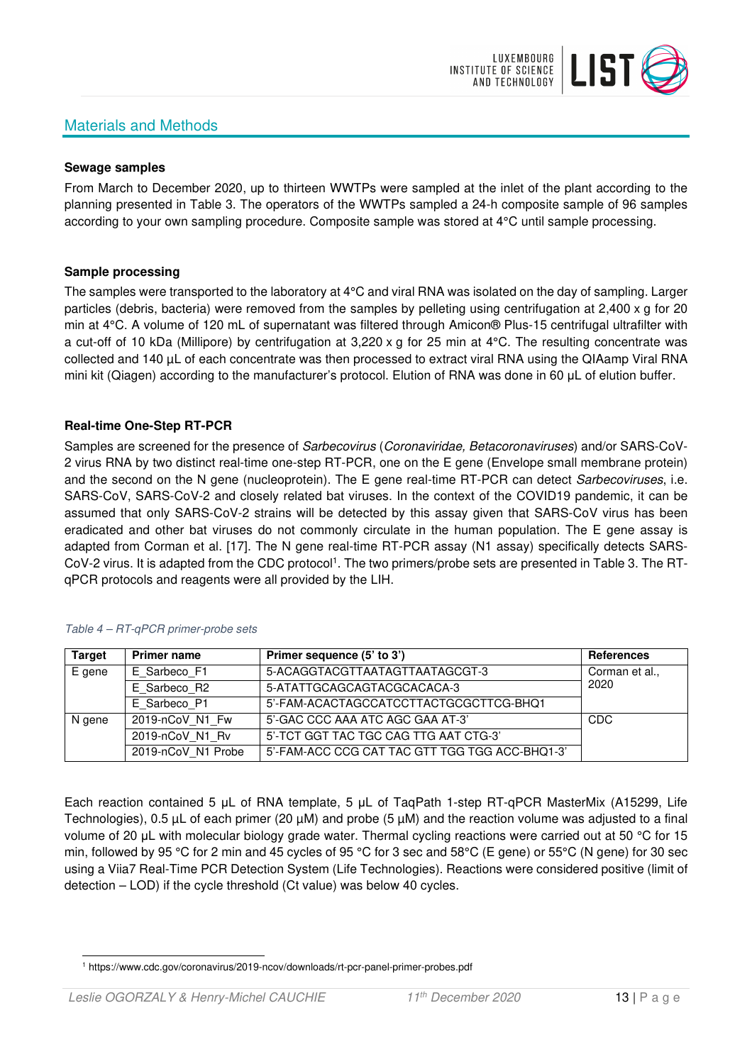# Materials and Methods



### **Sewage samples**

From March to December 2020, up to thirteen WWTPs were sampled at the inlet of the plant according to the planning presented in Table 3. The operators of the WWTPs sampled a 24-h composite sample of 96 samples according to your own sampling procedure. Composite sample was stored at 4°C until sample processing.

### **Sample processing**

The samples were transported to the laboratory at 4°C and viral RNA was isolated on the day of sampling. Larger particles (debris, bacteria) were removed from the samples by pelleting using centrifugation at 2,400 x g for 20 min at 4°C. A volume of 120 mL of supernatant was filtered through Amicon® Plus-15 centrifugal ultrafilter with a cut-off of 10 kDa (Millipore) by centrifugation at 3,220 x g for 25 min at 4°C. The resulting concentrate was collected and 140 µL of each concentrate was then processed to extract viral RNA using the QIAamp Viral RNA mini kit (Qiagen) according to the manufacturer's protocol. Elution of RNA was done in 60 μL of elution buffer.

## **Real-time One-Step RT-PCR**

Samples are screened for the presence of *Sarbecovirus (Coronaviridae, Betacoronaviruses*) and/or SARS-CoV-2 virus RNA by two distinct real-time one-step RT-PCR, one on the E gene (Envelope small membrane protein) and the second on the N gene (nucleoprotein). The E gene real-time RT-PCR can detect Sarbecoviruses, i.e. SARS-CoV, SARS-CoV-2 and closely related bat viruses. In the context of the COVID19 pandemic, it can be assumed that only SARS-CoV-2 strains will be detected by this assay given that SARS-CoV virus has been eradicated and other bat viruses do not commonly circulate in the human population. The E gene assay is adapted from Corman et al. [17]. The N gene real-time RT-PCR assay (N1 assay) specifically detects SARS-CoV-2 virus. It is adapted from the CDC protocol<sup>1</sup>. The two primers/probe sets are presented in Table 3. The RTqPCR protocols and reagents were all provided by the LIH.

| <b>Target</b> | <b>Primer name</b> | Primer sequence (5' to 3')                     | <b>References</b> |
|---------------|--------------------|------------------------------------------------|-------------------|
| E gene        | E Sarbeco F1       | 5-ACAGGTACGTTAATAGTTAATAGCGT-3                 | Corman et al.,    |
|               | E Sarbeco R2       | 5-ATATTGCAGCAGTACGCACACA-3                     | 2020              |
|               | E Sarbeco P1       | 5'-FAM-ACACTAGCCATCCTTACTGCGCTTCG-BHQ1         |                   |
| N gene        | 2019-nCoV N1 Fw    | 5'-GAC CCC AAA ATC AGC GAA AT-3'               | CDC               |
|               | 2019-nCoV N1 Rv    | 5'-TCT GGT TAC TGC CAG TTG AAT CTG-3'          |                   |
|               | 2019-nCoV N1 Probe | 5'-FAM-ACC CCG CAT TAC GTT TGG TGG ACC-BHQ1-3' |                   |

### Table 4 – RT-qPCR primer-probe sets

Each reaction contained 5 μL of RNA template, 5 μL of TaqPath 1-step RT-qPCR MasterMix (A15299, Life Technologies), 0.5 µL of each primer (20 µM) and probe (5 µM) and the reaction volume was adjusted to a final volume of 20 μL with molecular biology grade water. Thermal cycling reactions were carried out at 50 °C for 15 min, followed by 95 °C for 2 min and 45 cycles of 95 °C for 3 sec and 58°C (E gene) or 55°C (N gene) for 30 sec using a Viia7 Real-Time PCR Detection System (Life Technologies). Reactions were considered positive (limit of detection – LOD) if the cycle threshold (Ct value) was below 40 cycles.

<sup>1</sup> https://www.cdc.gov/coronavirus/2019-ncov/downloads/rt-pcr-panel-primer-probes.pdf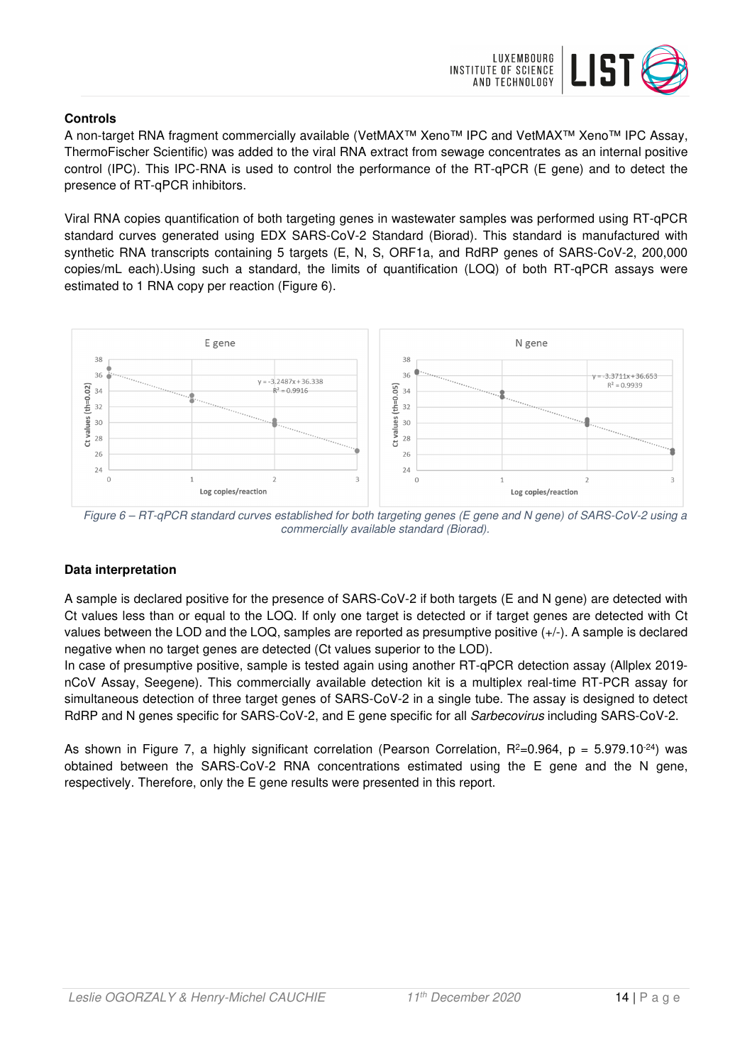

# **Controls**

A non-target RNA fragment commercially available (VetMAX™ Xeno™ IPC and VetMAX™ Xeno™ IPC Assay, ThermoFischer Scientific) was added to the viral RNA extract from sewage concentrates as an internal positive control (IPC). This IPC-RNA is used to control the performance of the RT-qPCR (E gene) and to detect the presence of RT-qPCR inhibitors.

Viral RNA copies quantification of both targeting genes in wastewater samples was performed using RT-qPCR standard curves generated using EDX SARS-CoV-2 Standard (Biorad). This standard is manufactured with synthetic RNA transcripts containing 5 targets (E, N, S, ORF1a, and RdRP genes of SARS-CoV-2, 200,000 copies/mL each).Using such a standard, the limits of quantification (LOQ) of both RT-qPCR assays were estimated to 1 RNA copy per reaction (Figure 6).



Figure 6 – RT-qPCR standard curves established for both targeting genes (E gene and N gene) of SARS-CoV-2 using a commercially available standard (Biorad).

# **Data interpretation**

A sample is declared positive for the presence of SARS-CoV-2 if both targets (E and N gene) are detected with Ct values less than or equal to the LOQ. If only one target is detected or if target genes are detected with Ct values between the LOD and the LOQ, samples are reported as presumptive positive (+/-). A sample is declared negative when no target genes are detected (Ct values superior to the LOD).

In case of presumptive positive, sample is tested again using another RT-qPCR detection assay (Allplex 2019 nCoV Assay, Seegene). This commercially available detection kit is a multiplex real-time RT-PCR assay for simultaneous detection of three target genes of SARS-CoV-2 in a single tube. The assay is designed to detect RdRP and N genes specific for SARS-CoV-2, and E gene specific for all Sarbecovirus including SARS-CoV-2.

As shown in Figure 7, a highly significant correlation (Pearson Correlation,  $R^2=0.964$ ,  $p = 5.979.10^{-24}$ ) was obtained between the SARS-CoV-2 RNA concentrations estimated using the E gene and the N gene, respectively. Therefore, only the E gene results were presented in this report.